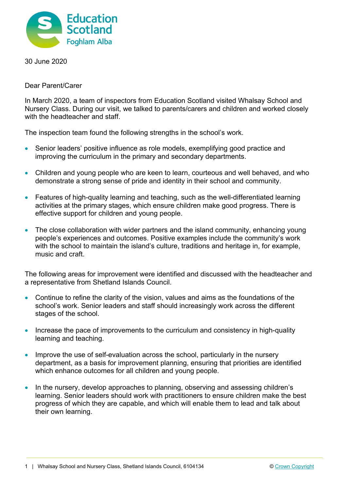

30 June 2020

Dear Parent/Carer

In March 2020, a team of inspectors from Education Scotland visited Whalsay School and Nursery Class. During our visit, we talked to parents/carers and children and worked closely with the headteacher and staff.

The inspection team found the following strengths in the school's work.

- Senior leaders' positive influence as role models, exemplifying good practice and improving the curriculum in the primary and secondary departments.
- Children and young people who are keen to learn, courteous and well behaved, and who demonstrate a strong sense of pride and identity in their school and community.
- Features of high-quality learning and teaching, such as the well-differentiated learning activities at the primary stages, which ensure children make good progress. There is effective support for children and young people.
- The close collaboration with wider partners and the island community, enhancing young people's experiences and outcomes. Positive examples include the community's work with the school to maintain the island's culture, traditions and heritage in, for example, music and craft.

The following areas for improvement were identified and discussed with the headteacher and a representative from Shetland Islands Council.

- Continue to refine the clarity of the vision, values and aims as the foundations of the school's work. Senior leaders and staff should increasingly work across the different stages of the school.
- Increase the pace of improvements to the curriculum and consistency in high-quality learning and teaching.
- Improve the use of self-evaluation across the school, particularly in the nursery department, as a basis for improvement planning, ensuring that priorities are identified which enhance outcomes for all children and young people.
- In the nursery, develop approaches to planning, observing and assessing children's learning. Senior leaders should work with practitioners to ensure children make the best progress of which they are capable, and which will enable them to lead and talk about their own learning.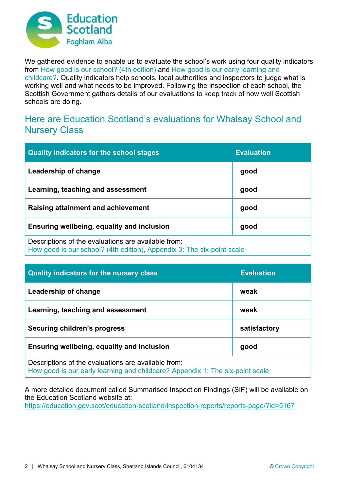

We gathered evidence to enable us to evaluate the school's work using four quality indicators from How good is our school? (4th edition) and How good is our early learning and childcare?. Quality indicators help schools, local authorities and inspectors to judge what is working well and what needs to be improved. Following the inspection of each school, the Scottish Government gathers details of our evaluations to keep track of how well Scottish schools are doing.

## Here are Education Scotland's evaluations for Whalsay School and Nursery Class

| <b>Quality indicators for the school stages</b>                                                                               | <b>Evaluation</b> |
|-------------------------------------------------------------------------------------------------------------------------------|-------------------|
| Leadership of change                                                                                                          | good              |
| Learning, teaching and assessment                                                                                             | good              |
| Raising attainment and achievement                                                                                            | good              |
| Ensuring wellbeing, equality and inclusion                                                                                    | good              |
| Descriptions of the evaluations are available from:<br>How good is our school? (4th edition), Appendix 3: The six-point scale |                   |

| <b>Quality indicators for the nursery class</b>                                                                                      | <b>Evaluation</b> |  |
|--------------------------------------------------------------------------------------------------------------------------------------|-------------------|--|
| Leadership of change                                                                                                                 | weak              |  |
| Learning, teaching and assessment                                                                                                    | weak              |  |
| Securing children's progress                                                                                                         | satisfactory      |  |
| Ensuring wellbeing, equality and inclusion                                                                                           | good              |  |
| Descriptions of the evaluations are available from:<br>How good is our early learning and childcare? Appendix 1: The six-point scale |                   |  |

A more detailed document called Summarised Inspection Findings (SIF) will be available on the Education Scotland website at:

https://education.gov.scot/education-scotland/inspection-reports/reports-page/?id=5167